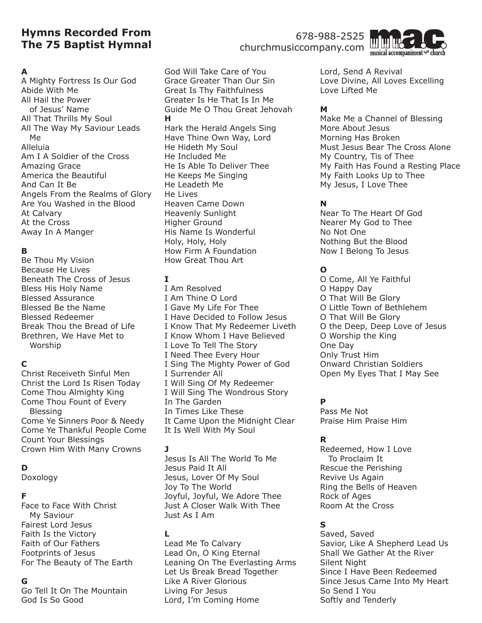# **Hymns Recorded From The 75 Baptist Hymnal**

### **A**

A Mighty Fortress Is Our God Abide With Me All Hail the Power of Jesus' Name All That Thrills My Soul All The Way My Saviour Leads Me Alleluia Am I A Soldier of the Cross Amazing Grace America the Beautiful And Can It Be Angels From the Realms of Glory Are You Washed in the Blood At Calvary At the Cross Away In A Manger

# **B**

Be Thou My Vision Because He Lives Beneath The Cross of Jesus Bless His Holy Name Blessed Assurance Blessed Be the Name Blessed Redeemer Break Thou the Bread of Life Brethren, We Have Met to Worship

# **C**

Christ Receiveth Sinful Men Christ the Lord Is Risen Today Come Thou Almighty King Come Thou Fount of Every Blessing Come Ye Sinners Poor & Needy Come Ye Thankful People Come Count Your Blessings Crown Him With Many Crowns

# **D**

Doxology

### **F**

Face to Face With Christ My Saviour Fairest Lord Jesus Faith Is the Victory Faith of Our Fathers Footprints of Jesus For The Beauty of The Earth

# **G**

Go Tell It On The Mountain God Is So Good

God Will Take Care of You Grace Greater Than Our Sin Great Is Thy Faithfulness Greater Is He That Is In Me Guide Me O Thou Great Jehovah **H** Hark the Herald Angels Sing Have Thine Own Way, Lord He Hideth My Soul He Included Me He Is Able To Deliver Thee He Keeps Me Singing He Leadeth Me He Lives Heaven Came Down Heavenly Sunlight Higher Ground His Name Is Wonderful Holy, Holy, Holy How Firm A Foundation How Great Thou Art

## **I**

I Am Resolved I Am Thine O Lord I Gave My Life For Thee I Have Decided to Follow Jesus I Know That My Redeemer Liveth I Know Whom I Have Believed I Love To Tell The Story I Need Thee Every Hour I Sing The Mighty Power of God I Surrender All I Will Sing Of My Redeemer I Will Sing The Wondrous Story In The Garden In Times Like These It Came Upon the Midnight Clear It Is Well With My Soul

#### **J**

Jesus Is All The World To Me Jesus Paid It All Jesus, Lover Of My Soul Joy To The World Joyful, Joyful, We Adore Thee Just A Closer Walk With Thee Just As I Am

### **L**

Lead Me To Calvary Lead On, O King Eternal Leaning On The Everlasting Arms Let Us Break Bread Together Like A River Glorious Living For Jesus Lord, I'm Coming Home

churchmusiccompany.com

Lord, Send A Revival Love Divine, All Loves Excelling Love Lifted Me

## **M**

Make Me a Channel of Blessing More About Jesus Morning Has Broken Must Jesus Bear The Cross Alone My Country, Tis of Thee My Faith Has Found a Resting Place My Faith Looks Up to Thee My Jesus, I Love Thee

# **N**

Near To The Heart Of God Nearer My God to Thee No Not One Nothing But the Blood Now I Belong To Jesus

# **O**

O Come, All Ye Faithful O Happy Day O That Will Be Glory O Little Town of Bethlehem O That Will Be Glory O the Deep, Deep Love of Jesus O Worship the King One Day Only Trust Him Onward Christian Soldiers Open My Eyes That I May See

# **P**

Pass Me Not Praise Him Praise Him

# **R**

Redeemed, How I Love To Proclaim It Rescue the Perishing Revive Us Again Ring the Bells of Heaven Rock of Ages Room At the Cross

# **S**

Saved, Saved Savior, Like A Shepherd Lead Us Shall We Gather At the River Silent Night Since I Have Been Redeemed Since Jesus Came Into My Heart So Send I You Softly and Tenderly